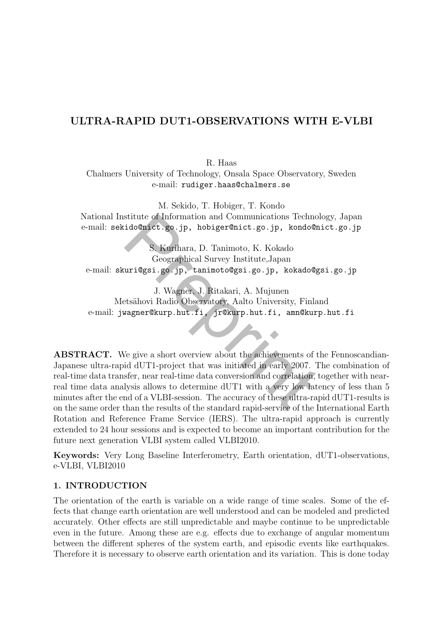# ULTRA-RAPID DUT1-OBSERVATIONS WITH E-VLBI

R. Haas

Chalmers University of Technology, Onsala Space Observatory, Sweden e-mail: rudiger.haas@chalmers.se

M. Sekido, T. Hobiger, T. Kondo National Institute of Information and Communications Technology, Japan e-mail: sekido@nict.go.jp, hobiger@nict.go.jp, kondo@nict.go.jp

S. Kurihara, D. Tanimoto, K. Kokado Geographical Survey Institute,Japan e-mail: skuri@gsi.go.jp, tanimoto@gsi.go.jp, kokado@gsi.go.jp

J. Wagner, J. Ritakari, A. Mujunen Metsähovi Radio Observatory, Aalto University, Finland e-mail: jwagner@kurp.hut.fi, jr@kurp.hut.fi, amn@kurp.hut.fi

stitute of Information and Communications Technol<br>
ido@nict.go.jp, hobiger@nict.go.jp, kondo@n<br>
S. Kurihara, D. Tanimoto, K. Kokado<br>
Geographical Survey Institute,Japan<br>
uri@gsi.go.jp, tanimoto@gsi.go.jp, kokado@g<br>
J. Wagn ABSTRACT. We give a short overview about the achievements of the Fennoscandian-Japanese ultra-rapid dUT1-project that was initiated in early 2007. The combination of real-time data transfer, near real-time data conversion and correlation, together with nearreal time data analysis allows to determine dUT1 with a very low latency of less than 5 minutes after the end of a VLBI-session. The accuracy of these ultra-rapid dUT1-results is on the same order than the results of the standard rapid-service of the International Earth Rotation and Reference Frame Service (IERS). The ultra-rapid approach is currently extended to 24 hour sessions and is expected to become an important contribution for the future next generation VLBI system called VLBI2010.

Keywords: Very Long Baseline Interferometry, Earth orientation, dUT1-observations, e-VLBI, VLBI2010

## 1. INTRODUCTION

The orientation of the earth is variable on a wide range of time scales. Some of the effects that change earth orientation are well understood and can be modeled and predicted accurately. Other effects are still unpredictable and maybe continue to be unpredictable even in the future. Among these are e.g. effects due to exchange of angular momentum between the different spheres of the system earth, and episodic events like earthquakes. Therefore it is necessary to observe earth orientation and its variation. This is done today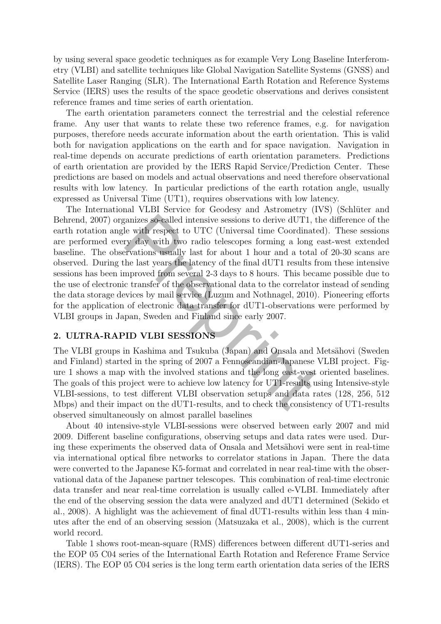by using several space geodetic techniques as for example Very Long Baseline Interferometry (VLBI) and satellite techniques like Global Navigation Satellite Systems (GNSS) and Satellite Laser Ranging (SLR). The International Earth Rotation and Reference Systems Service (IERS) uses the results of the space geodetic observations and derives consistent reference frames and time series of earth orientation.

The earth orientation parameters connect the terrestrial and the celestial reference frame. Any user that wants to relate these two reference frames, e.g. for navigation purposes, therefore needs accurate information about the earth orientation. This is valid both for navigation applications on the earth and for space navigation. Navigation in real-time depends on accurate predictions of earth orientation parameters. Predictions of earth orientation are provided by the IERS Rapid Service/Prediction Center. These predictions are based on models and actual observations and need therefore observational results with low latency. In particular predictions of the earth rotation angle, usually expressed as Universal Time (UT1), requires observations with low latency.

ganizes so-called intensive sessions to derive dUT1, the with respect to UTC (Universal time Coordinatery day with two radio telescopes forming a long ervations usually last for about 1 hour and a total dhe last years the The International VLBI Service for Geodesy and Astrometry (IVS) (Schlüter and Behrend, 2007) organizes so-called intensive sessions to derive dUT1, the difference of the earth rotation angle with respect to UTC (Universal time Coordinated). These sessions are performed every day with two radio telescopes forming a long east-west extended baseline. The observations usually last for about 1 hour and a total of 20-30 scans are observed. During the last years the latency of the final dUT1 results from these intensive sessions has been improved from several 2-3 days to 8 hours. This became possible due to the use of electronic transfer of the observational data to the correlator instead of sending the data storage devices by mail service (Luzum and Nothnagel, 2010). Pioneering efforts for the application of electronic data transfer for dUT1-observations were performed by VLBI groups in Japan, Sweden and Finland since early 2007.

### 2. ULTRA-RAPID VLBI SESSIONS

The VLBI groups in Kashima and Tsukuba (Japan) and Onsala and Metsähovi (Sweden and Finland) started in the spring of 2007 a Fennoscandian-Japanese VLBI project. Figure 1 shows a map with the involved stations and the long east-west oriented baselines. The goals of this project were to achieve low latency for UT1-results using Intensive-style VLBI-sessions, to test different VLBI observation setups and data rates (128, 256, 512 Mbps) and their impact on the dUT1-results, and to check the consistency of UT1-results observed simultaneously on almost parallel baselines

About 40 intensive-style VLBI-sessions were observed between early 2007 and mid 2009. Different baseline configurations, observing setups and data rates were used. During these experiments the observed data of Onsala and Metsähovi were sent in real-time via international optical fibre networks to correlator stations in Japan. There the data were converted to the Japanese K5-format and correlated in near real-time with the observational data of the Japanese partner telescopes. This combination of real-time electronic data transfer and near real-time correlation is usually called e-VLBI. Immediately after the end of the observing session the data were analyzed and dUT1 determined (Sekido et al., 2008). A highlight was the achievement of final dUT1-results within less than 4 minutes after the end of an observing session (Matsuzaka et al., 2008), which is the current world record.

Table 1 shows root-mean-square (RMS) differences between different dUT1-series and the EOP 05 C04 series of the International Earth Rotation and Reference Frame Service (IERS). The EOP 05 C04 series is the long term earth orientation data series of the IERS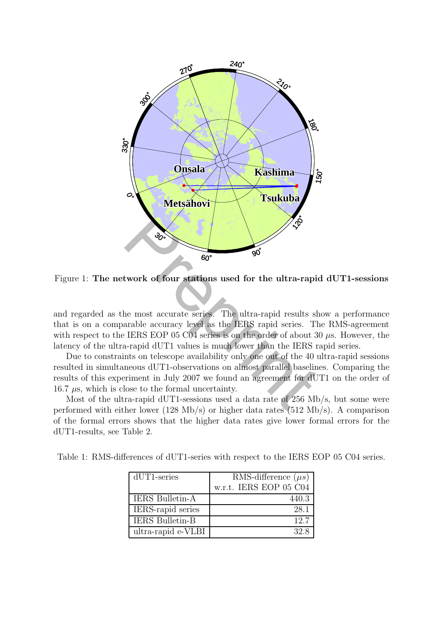

Figure 1: The network of four stations used for the ultra-rapid dUT1-sessions

and regarded as the most accurate series. The ultra-rapid results show a performance that is on a comparable accuracy level as the IERS rapid series. The RMS-agreement with respect to the IERS EOP 05 C04 series is on the order of about 30  $\mu$ s. However, the latency of the ultra-rapid dUT1 values is much lower than the IERS rapid series.

Due to constraints on telescope availability only one out of the 40 ultra-rapid sessions resulted in simultaneous dUT1-observations on almost parallel baselines. Comparing the results of this experiment in July 2007 we found an agreement for dUT1 on the order of 16.7  $\mu$ s, which is close to the formal uncertainty.

Most of the ultra-rapid dUT1-sessions used a data rate of 256 Mb/s, but some were performed with either lower (128 Mb/s) or higher data rates (512 Mb/s). A comparison of the formal errors shows that the higher data rates give lower formal errors for the dUT1-results, see Table 2.

|  | Table 1: RMS-differences of dUT1-series with respect to the IERS EOP 05 C04 series. |  |  |  |  |  |  |  |
|--|-------------------------------------------------------------------------------------|--|--|--|--|--|--|--|
|--|-------------------------------------------------------------------------------------|--|--|--|--|--|--|--|

| $dUT1$ -series         | RMS-difference $(\mu s)$ |
|------------------------|--------------------------|
|                        | w.r.t. IERS EOP 05 C04   |
| <b>IERS Bulletin-A</b> | 440.3                    |
| IERS-rapid series      | 28.1                     |
| <b>IERS Bulletin-B</b> | 12.7                     |
| ultra-rapid e-VLBI     | 32 S                     |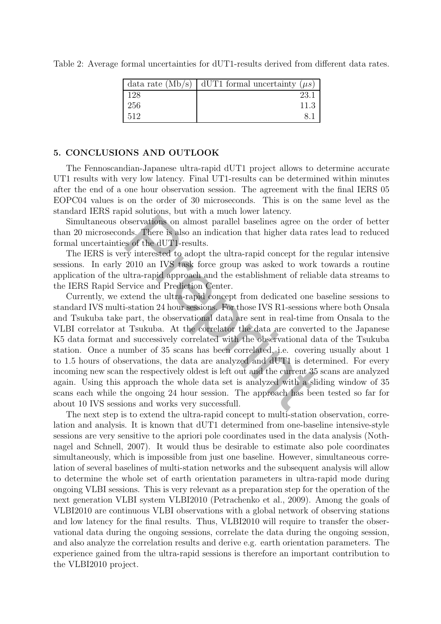|     | $\vert$ data rate (Mb/s) $\vert$ dUT1 formal uncertainty ( $\mu s$ ) |
|-----|----------------------------------------------------------------------|
| 128 | 23.1                                                                 |
| 256 | 11.3                                                                 |
| 512 |                                                                      |

Table 2: Average formal uncertainties for dUT1-results derived from different data rates.

#### 5. CONCLUSIONS AND OUTLOOK

The Fennoscandian-Japanese ultra-rapid dUT1 project allows to determine accurate UT1 results with very low latency. Final UT1-results can be determined within minutes after the end of a one hour observation session. The agreement with the final IERS 05 EOPC04 values is on the order of 30 microseconds. This is on the same level as the standard IERS rapid solutions, but with a much lower latency.

Simultaneous observations on almost parallel baselines agree on the order of better than 20 microseconds. There is also an indication that higher data rates lead to reduced formal uncertainties of the dUT1-results.

The IERS is very interested to adopt the ultra-rapid concept for the regular intensive sessions. In early 2010 an IVS task force group was asked to work towards a routine application of the ultra-rapid approach and the establishment of reliable data streams to the IERS Rapid Service and Prediction Center.

bservations on almost parallel baselines agree on the baselines agree of the dUT1-results.<br>Servations on almost parallel baselines agree on the sys of the dUT1-results.<br>Figure is also an indication that higher data rat sys Currently, we extend the ultra-rapid concept from dedicated one baseline sessions to standard IVS multi-station 24 hour sessions. For those IVS R1-sessions where both Onsala and Tsukuba take part, the observational data are sent in real-time from Onsala to the VLBI correlator at Tsukuba. At the correlator the data are converted to the Japanese K5 data format and successively correlated with the observational data of the Tsukuba station. Once a number of 35 scans has been correlated, i.e. covering usually about 1 to 1.5 hours of observations, the data are analyzed and dUT1 is determined. For every incoming new scan the respectively oldest is left out and the current 35 scans are analyzed again. Using this approach the whole data set is analyzed with a sliding window of 35 scans each while the ongoing 24 hour session. The approach has been tested so far for about 10 IVS sessions and works very successfull.

The next step is to extend the ultra-rapid concept to multi-station observation, correlation and analysis. It is known that dUT1 determined from one-baseline intensive-style sessions are very sensitive to the apriori pole coordinates used in the data analysis (Nothnagel and Schnell, 2007). It would thus be desirable to estimate also pole coordinates simultaneously, which is impossible from just one baseline. However, simultaneous correlation of several baselines of multi-station networks and the subsequent analysis will allow to determine the whole set of earth orientation parameters in ultra-rapid mode during ongoing VLBI sessions. This is very relevant as a preparation step for the operation of the next generation VLBI system VLBI2010 (Petrachenko et al., 2009). Among the goals of VLBI2010 are continuous VLBI observations with a global network of observing stations and low latency for the final results. Thus, VLBI2010 will require to transfer the observational data during the ongoing sessions, correlate the data during the ongoing session, and also analyze the correlation results and derive e.g. earth orientation parameters. The experience gained from the ultra-rapid sessions is therefore an important contribution to the VLBI2010 project.